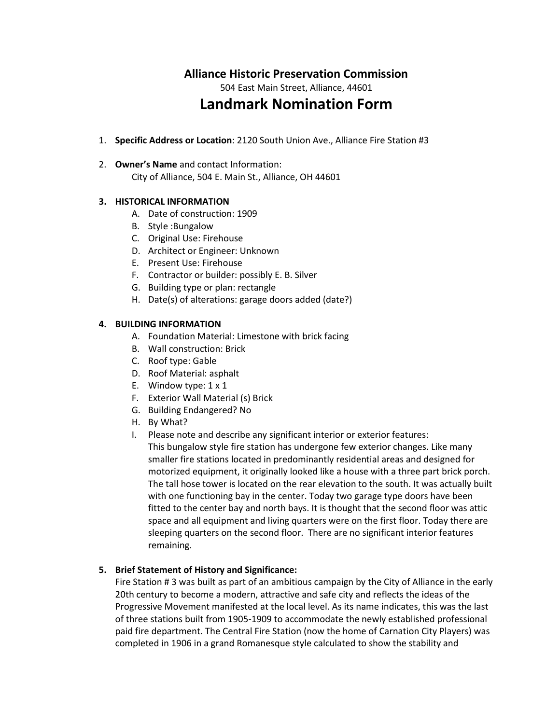## **Alliance Historic Preservation Commission**

504 East Main Street, Alliance, 44601

# **Landmark Nomination Form**

1. **Specific Address or Location**: 2120 South Union Ave., Alliance Fire Station #3

### 2. **Owner's Name** and contact Information:

City of Alliance, 504 E. Main St., Alliance, OH 44601

#### **3. HISTORICAL INFORMATION**

- A. Date of construction: 1909
- B. Style :Bungalow
- C. Original Use: Firehouse
- D. Architect or Engineer: Unknown
- E. Present Use: Firehouse
- F. Contractor or builder: possibly E. B. Silver
- G. Building type or plan: rectangle
- H. Date(s) of alterations: garage doors added (date?)

#### **4. BUILDING INFORMATION**

- A. Foundation Material: Limestone with brick facing
- B. Wall construction: Brick
- C. Roof type: Gable
- D. Roof Material: asphalt
- E. Window type: 1 x 1
- F. Exterior Wall Material (s) Brick
- G. Building Endangered? No
- H. By What?
- I. Please note and describe any significant interior or exterior features:

This bungalow style fire station has undergone few exterior changes. Like many smaller fire stations located in predominantly residential areas and designed for motorized equipment, it originally looked like a house with a three part brick porch. The tall hose tower is located on the rear elevation to the south. It was actually built with one functioning bay in the center. Today two garage type doors have been fitted to the center bay and north bays. It is thought that the second floor was attic space and all equipment and living quarters were on the first floor. Today there are sleeping quarters on the second floor. There are no significant interior features remaining.

#### **5. Brief Statement of History and Significance:**

Fire Station # 3 was built as part of an ambitious campaign by the City of Alliance in the early 20th century to become a modern, attractive and safe city and reflects the ideas of the Progressive Movement manifested at the local level. As its name indicates, this was the last of three stations built from 1905-1909 to accommodate the newly established professional paid fire department. The Central Fire Station (now the home of Carnation City Players) was completed in 1906 in a grand Romanesque style calculated to show the stability and